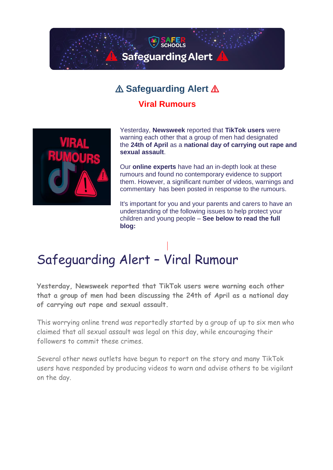

## ⚠️ **Safeguarding Alert** ⚠️

## **Viral Rumours**



Yesterday, **Newsweek** reported that **TikTok users** were warning each other that a group of men had designated the **24th of April** as a **national day of carrying out rape and sexual assault**.

Our **online experts** have had an in-depth look at these rumours and found no contemporary evidence to support them. However, a significant number of videos, warnings and commentary has been posted in response to the rumours.

It's important for you and your parents and carers to have an understanding of the following issues to help protect your children and young people – **See below to read the full blog:**

## Safeguarding Alert – Viral Rumour

**Yesterday, Newsweek reported that TikTok users were warning each other that a group of men had been discussing the 24th of April as a national day of carrying out rape and sexual assault.**

This worrying online trend was reportedly started by a group of up to six men who claimed that all sexual assault was legal on this day, while encouraging their followers to commit these crimes.

Several other news outlets have begun to report on the story and many TikTok users have responded by producing videos to warn and advise others to be vigilant on the day.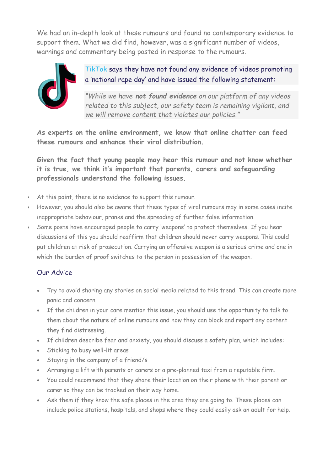We had an in-depth look at these rumours and found no contemporary evidence to support them. What we did find, however, was a significant number of videos, warnings and commentary being posted in response to the rumours.



TikTok says they have not found any evidence of videos promoting a 'national rape day' and have issued the following statement:

*"While we have not found evidence on our platform of any videos related to this subject, our safety team is remaining vigilant, and we will remove content that violates our policies."*

**As experts on the online environment, we know that online chatter can feed these rumours and enhance their viral distribution.**

**Given the fact that young people may hear this rumour and not know whether it is true, we think it's important that parents, carers and safeguarding professionals understand the following issues.**

- At this point, there is no evidence to support this rumour.
- However, you should also be aware that these types of viral rumours may in some cases incite inappropriate behaviour, pranks and the spreading of further false information.
- Some posts have encouraged people to carry 'weapons' to protect themselves. If you hear discussions of this you should reaffirm that children should never carry weapons. This could put children at risk of prosecution. Carrying an offensive weapon is a serious crime and one in which the burden of proof switches to the person in possession of the weapon.

## Our Advice

- Try to avoid sharing any stories on social media related to this trend. This can create more panic and concern.
- If the children in your care mention this issue, you should use the opportunity to talk to them about the nature of online rumours and how they can block and report any content they find distressing.
- If children describe fear and anxiety, you should discuss a safety plan, which includes:
- Sticking to busy well-lit areas
- Staying in the company of a friend/s
- Arranging a lift with parents or carers or a pre-planned taxi from a reputable firm.
- You could recommend that they share their location on their phone with their parent or carer so they can be tracked on their way home.
- Ask them if they know the safe places in the area they are going to. These places can include police stations, hospitals, and shops where they could easily ask an adult for help.